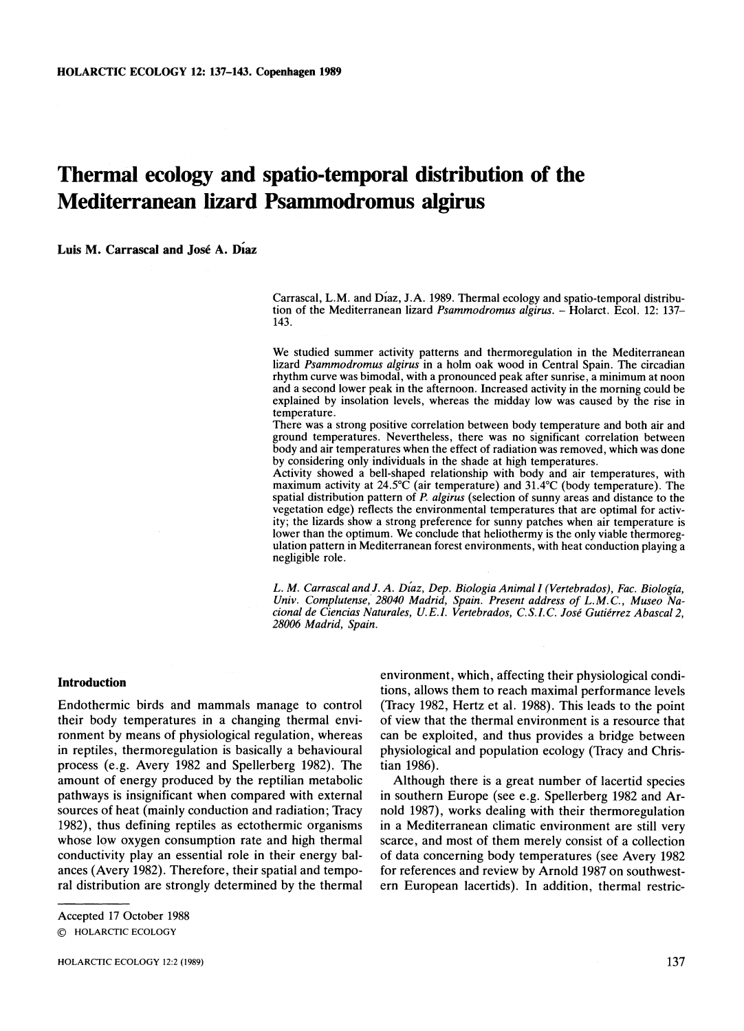# **Thermal ecology and spatio-temporal distribution of the Mediterranean lizard Psammodromus algirus**

**Luis M. Carrascal and José A. Diaz** 

Carrascal, L.M. and Diaz, J.A. 1989. Thermal ecology and spatio-temporal distribution of the Mediterranean lizard *Psammodromus algirus*. - Holarct. Ecol. 12: 137-143.

We studied summer activity patterns and thermoregulation in the Mediterranean lizard *Psammodromus algirus* in a holm oak wood in Central Spain. The circadian rhythm curve was bimodal, with a pronounced peak after sunrise, a minimum at noon and a second lower peak in the afternoon. Increased activity in the morning could be explained by insolation levels, whereas the midday low was caused by the rise in temperature.

There was a strong positive correlation between body temperature and both air and ground temperatures. Nevertheless, there was no significant correlation between body and air temperatures when the effect of radiation was removed, which was done by considering only individuals in the shade at high temperatures.

Activity showed a bell-shaped relationship with body and air temperatures, with maximum activity at  $24.5^{\circ}$ C (air temperature) and  $31.4^{\circ}$ C (body temperature). The spatial distribution pattern of *P. algirus* (selection of sunny areas and distance to the vegetation edge) reflects the environmental temperatures that are optimal for activity; the lizards show a strong preference for sunny patches when air temperature is lower than the optimum. We conclude that heliothermy is the only viable thermoregulation pattern in Mediterranean forest environments, with heat conduction playing a negligible role.

L. M. Carrascal and J. A. Diaz, Dep. Biologia Animal I (Vertebrados), Fac. Biología, *Univ. Complutense, 28040 Madrid, Spain. Present address of L.M.C., Museo Nacional de Ciencias Naturales, U.E.I. Vertebrados, C.S.I.C. José Gutiérrez Abascal 2, 28006 Madrid, Spain.* 

### **Introduction**

Endothermic birds and mammals manage to control their body temperatures in a changing thermal environment by means of physiological regulation, whereas in reptiles, thermoregulation is basically a behavioural process (e.g. Avery 1982 and Spellerberg 1982). The amount of energy produced by the reptilian metabolic pathways is insignificant when compared with external sources of heat (mainly conduction and radiation; Tracy 1982), thus defining reptiles as ectothermic organisms whose low oxygen consumption rate and high thermal conductivity play an essential role in their energy balances (Avery 1982). Therefore, their spatial and temporal distribution are strongly determined by the thermal environment, which, affecting their physiological conditions, allows them to reach maximal performance levels (Tracy 1982, Hertz et al. 1988). This leads to the point of view that the thermal environment is a resource that can be exploited, and thus provides a bridge between physiological and population ecology (Tracy and Christian 1986).

Although there is a great number of lacertid species in southern Europe (see e.g. Spellerberg 1982 and Arnold 1987). works dealing with their thermoregulation in a Mediterranean climatic environment are still very scarce, and most of them merely consist of a collection of data concerning body temperatures (see Avery 1982 for references and review by Arnold 1987 on southwestern European lacertids). In addition, thermal restric-

Accepted 17 October 1988 0 HOLARCTlC ECOLOGY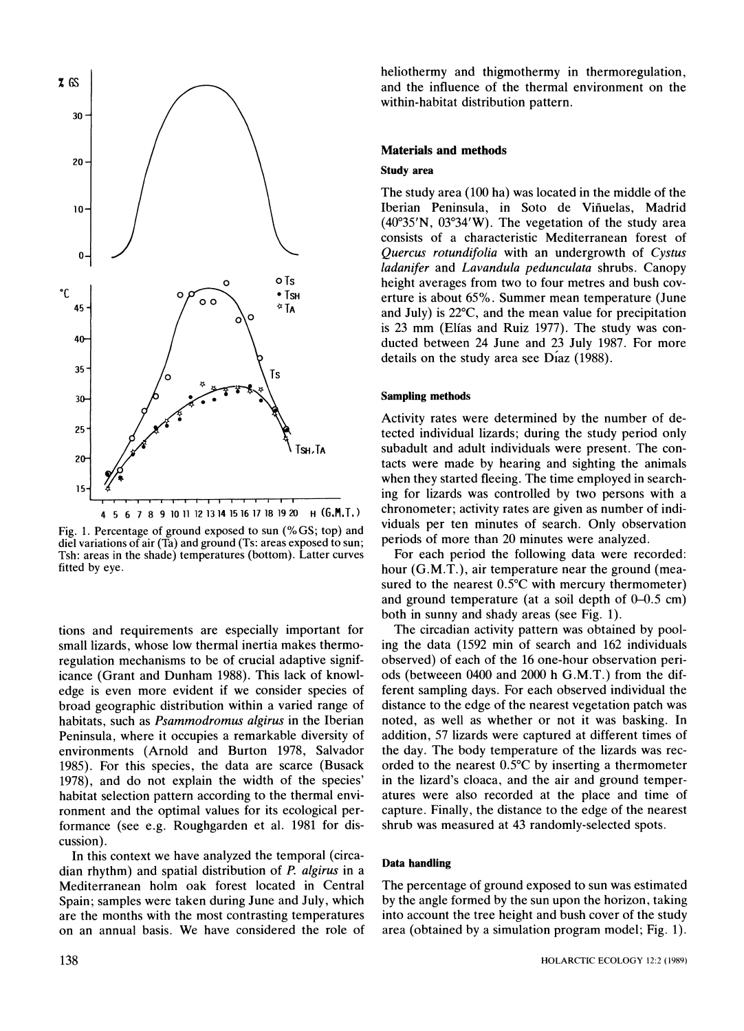

Fig. 1. Percentage of ground exposed to sun *(%GS;* top) and die1 variations of air (Ta) and ground (Ts: areas exposed to sun; Tsh: areas in the shade) temperatures (bottom). Latter curves fitted by eye.

tions and requirements are especially important for small lizards, whose low thermal inertia makes thermoregulation mechanisms to be of crucial adaptive significance (Grant and Dunham 1988). This lack of knowledge is even more evident if we consider species of broad geographic distribution within a varied range of habitats, such as *Psammodromus algirus* in the Iberian Peninsula, where it occupies a remarkable diversity of environments (Arnold and Burton 1978, Salvador 1985). For this species, the data are scarce (Busack 1978), and do not explain the width of the species' habitat selection pattern according to the thermal environment and the optimal values for its ecological performance (see e.g. Roughgarden et al. 1981 for discussion).

In this context we have analyzed the temporal (circadian rhythm) and spatial distribution of P. *algirus* in a Mediterranean holm oak forest located in Central Spain; samples were taken during June and July, which are the months with the most contrasting temperatures on an annual basis. We have considered the role of heliothermy and thigmothermy in thermoregulation, and the influence of the thermal environment on the within-habitat distribution pattern.

# **Materials and methods**

#### **Study area**

The study area (100 ha) was located in the middle of the Iberian Peninsula, in Soto de Viñuelas, Madrid (40"35'N, 03'34'W). The vegetation of the study area consists of a characteristic Mediterranean forest of *Quercus rotundifolia* with an undergrowth of *Cystus ladanifer* and *Lavandula pedunculata* shrubs. Canopy height averages from two to four metres and bush coverture is about 65%. Summer mean temperature (June and July) is 22"C, and the mean value for precipitation is 23 mm (Elias and Ruiz 1977). The study was conducted between 24 June and 23 July 1987. For more details on the study area see  $D'_{12}(1988)$ .

#### **Sampling methods**

Activity rates were determined by the number of detected individual lizards; during the study period only subadult and adult individuals were present. The contacts were made by hearing and sighting the animals when they started fleeing. The time employed in searching for lizards was controlled by two persons with a chronometer; activity rates are given as number of individuals per ten minutes of search. Only observation periods of more than 20 minutes were analyzed.

For each period the following data were recorded: hour (G.M.T.), air temperature near the ground (measured to the nearest  $0.5^{\circ}$ C with mercury thermometer) and ground temperature (at a soil depth of  $0-0.5$  cm) both in sunny and shady areas (see Fig. 1).

The circadian activity pattern was obtained by pooling the data (1592 min of search and 162 individuals observed) of each of the 16 one-hour observation periods (betweeen 0400 and 2000 h G.M.T.) from the different sampling days. For each observed individual the distance to the edge of the nearest vegetation patch was noted, as well as whether or not it was basking. In addition. 57 lizards were captured at different times of the day. The body temperature of the lizards was recorded to the nearest  $0.5^{\circ}$ C by inserting a thermometer in the lizard's cloaca, and the air and ground temperatures were also recorded at the place and time of capture. Finally, the distance to the edge of the nearest shrub was measured at 43 randomly-selected spots.

### **Data handling**

The percentage of ground exposed to sun was estimated by the angle formed by the sun upon the horizon, taking into account the tree height and bush cover of the study area (obtained by a simulation program model; Fig. 1).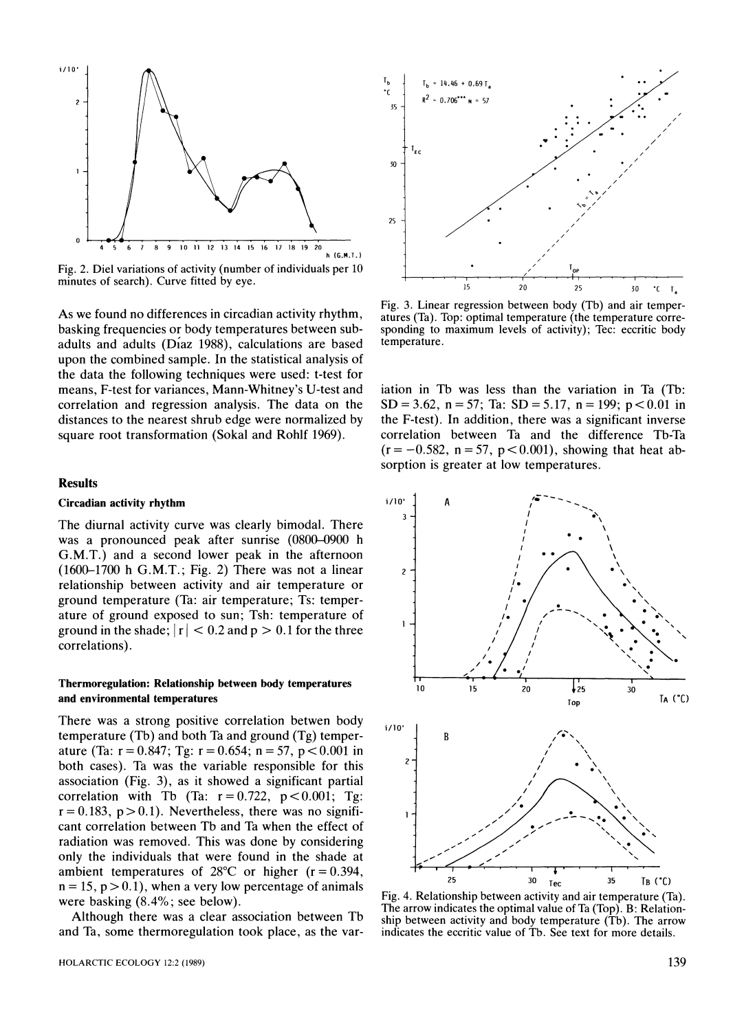

Fig. 2. Die1 variations of activity (number of individuals per 10 minutes of search). Curve fitted by eye.

As we found no differences in circadian activity rhythm, basking frequencies or body temperatures between subadults and adults ( $Díaz$  1988), calculations are based upon the combined sample. In the statistical analysis of the data the following techniques were used: t-test for means, F-test for variances, Mann-Whitney's U-test and correlation and regression analysis. The data on the distances to the nearest shrub edge were normalized by square root transformation (Sokal and Rohlf 1969).

#### **Results**

### **Circadian activity rhythm**

The diurnal activity curve was clearly bimodal. There was a pronounced peak after sunrise (0800-0900 h G.M.T.) and a second lower peak in the afternoon  $(1600-1700 \text{ h } G.M.T.)$ ; Fig. 2) There was not a linear relationship between activity and air temperature or ground temperature (Ta: air temperature; Ts: temperature of ground exposed to sun; Tsh: temperature of ground in the shade;  $|r| < 0.2$  and  $p > 0.1$  for the three correlations).

## **Thermoregulation: Relationship between body temperatures and environmental temperatures**

There was a strong positive correlation betwen body temperature (Tb) and both Ta and ground (Tg) temperature (Ta:  $r = 0.847$ ; Tg:  $r = 0.654$ ;  $n = 57$ ,  $p < 0.001$  in both cases). Ta was the variable responsible for this association (Fig. 3), as it showed a significant partial correlation with Tb (Ta:  $r = 0.722$ ,  $p < 0.001$ ; Tg:  $r = 0.183$ ,  $p > 0.1$ ). Nevertheless, there was no significant correlation between Tb and Ta when the effect of radiation was removed. This was done by considering only the individuals that were found in the shade at ambient temperatures of  $28^{\circ}$ C or higher (r = 0.394,  $n = 15$ ,  $p > 0.1$ , when a very low percentage of animals were basking (8.4%; see below).

Although there was a clear association between Tb and Ta, some thermoregulation took place, as the var-



Fig. 3. Linear regression between body (Tb) and air temperatures (Ta). Top: optimal temperature (the temperature corresponding to maximum levels of activity); Tec: eccritic body temperature.

iation in Tb was less than the variation in Ta (Tb: SD = 3.62, n = 57; Ta: SD = 5.17, n = 199; p < 0.01 in the F-test). In addition, there was a significant inverse correlation between Ta and the difference Tb-Ta  $(r = -0.582, n = 57, p < 0.001)$ , showing that heat absorption is greater at low temperatures.



Fig. 4. Relationship between activity and air temperature (Ta). The arrow indicates the optimal value of Ta (Top). B: Relationship between activity and body temperature (Tb). The arrow indicates the eccritic value of Tb. See text for more details.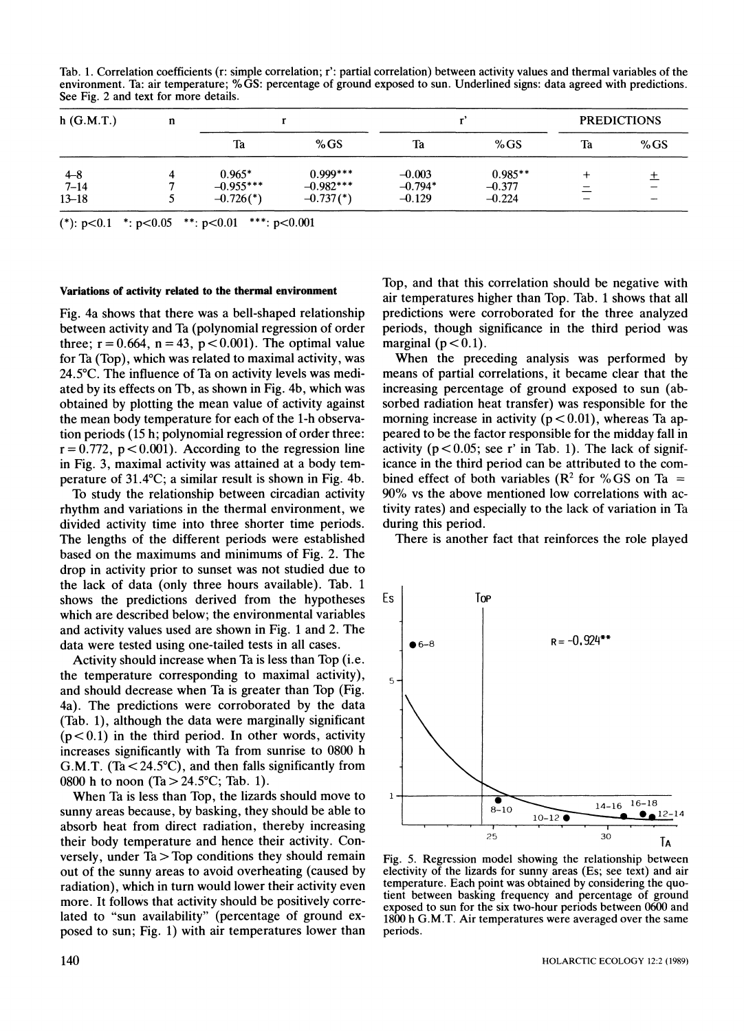Tab. 1. Correlation coefficients (r: simple correlation; r': partial correlation) between activity values and thermal variables of the environment. Ta: air temperature; **%GS:** percentage of ground exposed to sun. Underlined signs: data agreed with predictions. See Fig. 2 and text for more details.

| $h$ (G.M.T.) | n |                           |                           |           |           | <b>PREDICTIONS</b> |        |
|--------------|---|---------------------------|---------------------------|-----------|-----------|--------------------|--------|
|              |   | Ta                        | %GS                       | Ta        | %GS       | Ta                 | %GS    |
| $4 - 8$      |   | $0.965*$                  | $0.999***$                | $-0.003$  | $0.985**$ |                    |        |
| $7 - 14$     |   | $-0.955***$               | $-0.982***$               | $-0.794*$ | $-0.377$  |                    | $\sim$ |
| $13 - 18$    |   | $-0.726$ <sup>(*)</sup> ) | $-0.737$ <sup>(*)</sup> ) | $-0.129$  | $-0.224$  |                    | $-$    |

(\*):  $p<0.1$  \*:  $p<0.05$  \*\*:  $p<0.01$  \*\*\*:  $p<0.001$ 

#### **Variations of activity related to the thermal environment**

Fig. 4a shows that there was a bell-shaped relationship between activity and Ta (polynomial regression of order three;  $r = 0.664$ ,  $n = 43$ ,  $p < 0.001$ ). The optimal value for Ta (Top), which was related to maximal activity, was 24.5"C. The influence of Ta on activity levels was mediated by its effects on Tb, as shown in Fig. 4b, which was obtained by plotting the mean value of activity against the mean body temperature for each of the 1-h observation periods (15 h; polynomial regression of order three:  $r = 0.772$ ,  $p < 0.001$ ). According to the regression line in Fig. 3, maximal activity was attained at a body temperature of  $31.4^{\circ}$ C; a similar result is shown in Fig. 4b.

To study the relationship between circadian activity rhythm and variations in the thermal environment, we divided activity time into three shorter time periods. The lengths of the different periods were established based on the maximums and minimums of Fig. 2. The drop in activity prior to sunset was not studied due to the lack of data (only three hours available). Tab. 1 shows the predictions derived from the hypotheses which are described below; the environmental variables and activity values used are shown in Fig. 1and 2. The data were tested using one-tailed tests in all cases.

Activity should increase when Ta is less than Top (i.e. the temperature corresponding to maximal activity), and should decrease when Ta is greater than Top (Fig. 4a). The predictions were corroborated by the data (Tab. I), although the data were marginally significant  $(p<0.1)$  in the third period. In other words, activity increases significantly with Ta from sunrise to 0800 h G.M.T. (Ta  $<$  24.5°C), and then falls significantly from 0800 h to noon  $(Ta > 24.5^{\circ}C; Tab. 1)$ .

When Ta is less than Top, the lizards should move to sunny areas because, by basking, they should be able to absorb heat from direct radiation, thereby increasing their body temperature and hence their activity. Conversely, under  $Ta > Top$  conditions they should remain out of the sunny areas to avoid overheating (caused by radiation), which in turn would lower their activity even more. It follows that activity should be positively correlated to "sun availability" (percentage of ground exposed to sun; Fig. 1) with air temperatures lower than

Top, and that this correlation should be negative with air temperatures higher than Top. Tab. 1 shows that all predictions were corroborated for the three analyzed periods, though significance in the third period was marginal ( $p < 0.1$ ).

When the preceding analysis was performed by means of partial correlations, it became clear that the increasing percentage of ground exposed to sun (absorbed radiation heat transfer) was responsible for the morning increase in activity ( $p < 0.01$ ), whereas Ta appeared to be the factor responsible for the midday fall in activity ( $p < 0.05$ ; see r' in Tab. 1). The lack of significance in the third period can be attributed to the combined effect of both variables ( $\mathbb{R}^2$  for % GS on Ta = 90% vs the above mentioned low correlations with activity rates) and especially to the lack of variation in Ta during this period.

There is another fact that reinforces the role played



Fig. *5.* Regression model showing the relationship between electivity of the lizards for sunny areas (Es; see text) and air temperature. Each point was obtained by considering the quotient between basking frequency and percentage of ground exposed to sun for the six two-hour periods between 0600 and 1800h G.M.T. Air temperatures were averaged over the same periods.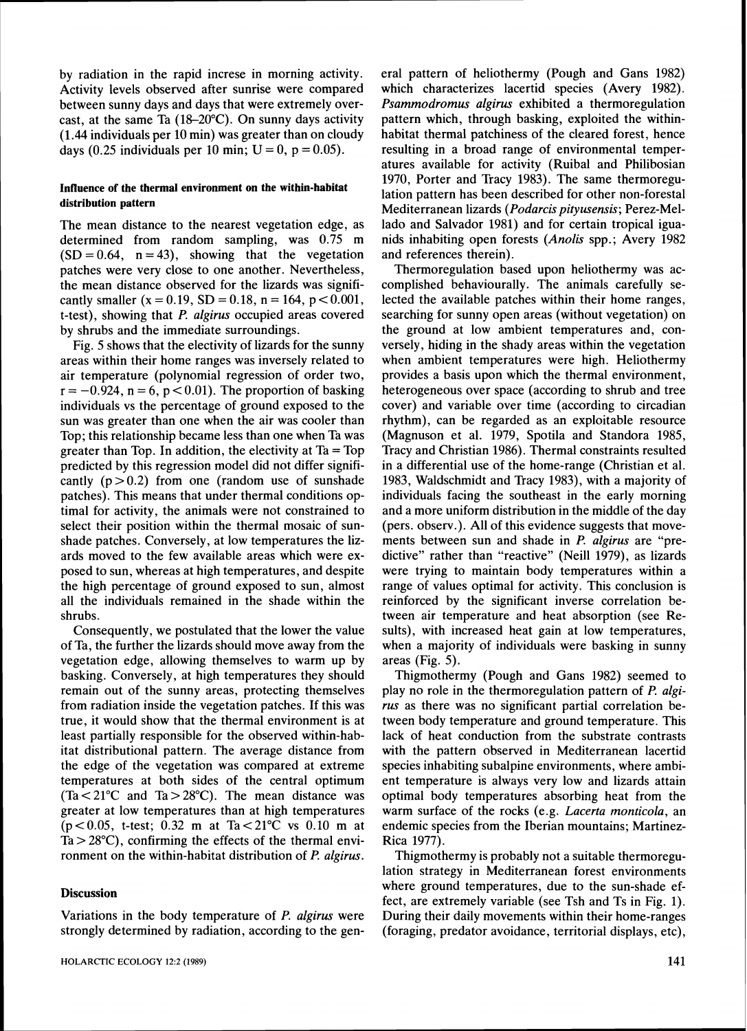by radiation in the rapid increse in morning activity. Activity levels observed after sunrise were compared between sunny days and days that were extremely overcast, at the same Ta (18-20°C). On sunny days activity (1.44 individuals per 10 min) was greater than on cloudy days (0.25 individuals per 10 min;  $U = 0$ , p = 0.05).

# **Influence of the thermal environment on the within-habitat distribution pattern**

The mean distance to the nearest vegetation edge, as determined from random sampling, was 0.75 m  $(SD = 0.64, n = 43)$ , showing that the vegetation patches were very close to one another. Nevertheless, the mean distance observed for the lizards was significantly smaller  $(x = 0.19, SD = 0.18, n = 164, p < 0.001,$ t-test), showing that *P.* algirus occupied areas covered by shrubs and the immediate surroundings.

Fig, 5 shows that the electivity of lizards for the sunny areas within their home ranges was inversely related to air temperature (polynomial regression of order two,  $r = -0.924$ ,  $n = 6$ ,  $p < 0.01$ ). The proportion of basking individuals vs the percentage of ground exposed to the sun was greater than one when the air was cooler than Top; this relationship became less than one when Ta was greater than Top. In addition, the electivity at  $Ta = Top$ predicted by this regression model did not differ significantly  $(p > 0.2)$  from one (random use of sunshade patches). This means that under thermal conditions optimal for activity, the animals were not constrained to select their position within the thermal mosaic of sunshade patches. Conversely, at low temperatures the lizards moved to the few available areas which were exposed to sun, whereas at high temperatures, and despite the high percentage of ground exposcd to sun, almost all the individuals remained in the shade within the shrubs.

Consequently, we postulated that the lower the value of Ta, the further the lizards should move away from the vegetation edge, allowing themselves to warm up by basking. Conversely, at high temperatures they should remain out of the sunny areas, protecting themselves from radiation inside the vegetation patches. If this was true, it would show that the thermal environment is at least partially responsible for the observed within-habitat distributional pattern. The average distance from the edge of the vegetation was compared at extreme temperatures at both sides of the central optimum  $(Ta < 21^{\circ}$ C and  $Ta > 28^{\circ}$ C). The mean distance was greater at low temperatures than at high temperatures  $(p < 0.05$ , t-test; 0.32 m at Ta $< 21^{\circ}$ C vs 0.10 m at  $Ta > 28^{\circ}$ C), confirming the effects of the thermal environment on the within-habitat distribution of P. algirus.

## **Discussion**

Variations in the body temperature of *P. algirus* were strongly determined by radiation, according to the general pattern of heliothermy (Pough and Gans 1982) which characterizes lacertid species (Avery 1982). Psammodromus algirus exhibited a thermoregulation pattern which, through basking, exploited the withinhabitat thermal patchiness of the cleared forest, hence resulting in a broad range of environmental temperatures available for activity (Ruibal and Philibosian 1970, Porter and Tracy 1983). The same thermoregulation pattern has been described for other non-forestal Mediterranean lizards (Podarcis pityusensis; Perez-Mellado and Salvador 1981) and for certain tropical iguanids inhabiting open forests (Anolis spp.; Avery 1982 and references therein).

Thermoregulation based upon heliothermy was accomplished behaviourally. The animals carefully selected the available patches within their home ranges, searching for sunny open areas (without vegetation) on the ground at low ambient temperatures and, conversely, hiding in the shady areas within the vegetation when ambient temperatures were high. Heliothermy provides a basis upon which the thermal environment, heterogeneous over space (according to shrub and tree cover) and variable over time (according to circadian rhythm), can be regarded as an exploitable resource (Magnuson et al. 1979, Spotila and Standora 1985, Tracy and Christian 1986). Thermal constraints resulted in a differential use of the home-range (Christian et al. 1983, Waldschmidt and Tracy 1983), with a majority of individuals facing the southeast in the early morning and a more uniform distribution in the middle of the day (pers. observ.). All of this evidence suggests that movements between sun and shade in *P. algirus* are "predictive" rather than "reactive" (Neill 1979), as lizards were trying to maintain body temperatures within a range of values optimal for activity. This conclusion is reinforced by the significant inverse correlation between air temperature and heat absorption (see Results), with increased heat gain at low temperatures, when a majority of individuals were basking in sunny areas (Fig. *5).* 

Thigmothermy (Pough and Gans 1982) seemed to play no role in the thermoregulation pattern of *P.* algirus as there was no significant partial correlation between body temperature and ground temperature. This lack of heat conduction from the substrate contrasts with the pattern observed in Mediterranean lacertid species inhabiting subalpine environments, where ambient temperature is always very low and lizards attain optimal body temperatures absorbing heat from the warm surface of the rocks (e.g. *Lacerta monticola*, an endemic species from the Iberian mountains; Martinez-Rica 1977).

Thigmothermy is probably not a suitable thermoregulation strategy in Mediterranean forest environments where ground temperatures, due to the sun-shade effect, are extremely variable (see Tsh and Ts in Fig. 1). During their daily movements within their home-ranges (foraging, predator avoidance, territorial displays, etc),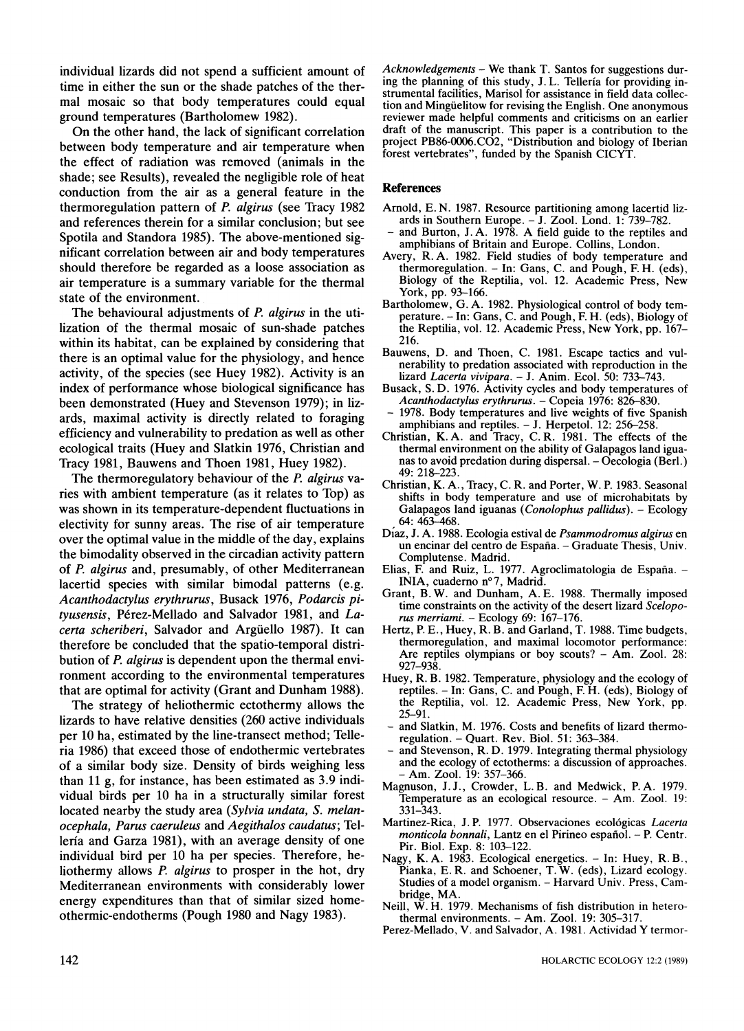individual lizards did not spend a sufficient amount of time in either the sun or the shade patches of the thermal mosaic so that body temperatures could equal ground temperatures (Bartholomew 1982).

On the other hand, the lack of significant correlation between body temperature and air temperature when the effect of radiation was removed (animals in the shade; see Results), revealed the negligible role of heat conduction from the air as a general feature in the thermoregulation pattern of P. *algirus* (see Tracy 1982 and references therein for a similar conclusion; but see Spotila and Standora 1985). The above-mentioned significant correlation between air and body temperatures should therefore be regarded as a loose association as air temperature is a summary variable for the thermal state of the environment.

The behavioural adjustments of *P. algirus* in the utilization of the thermal mosaic of sun-shade patches within its habitat, can be explained by considering that there is an optimal value for the physiology, and hence activity, of the species (see Huey 1982). Activity is an index of performance whose biological significance has been demonstrated (Huey and Stevenson 1979); in lizards, maximal activity is directly related to foraging efficiency and vulnerability to predation as well as other ecological traits (Huey and Slatkin 1976, Christian and Tracy 1981, Bauwens and Thoen 1981, Huey 1982).

he thermoregulatory behaviour of the *P. algirus* varies with ambient temperature (as it relates to Top) as was shown in its temperature-dependent fluctuations in electivity for sunny areas. The rise of air temperature over the optimal value in the middle of the day, explains the bimodality observed in the circadian activity pattern of *P. algirus* and, presumably, of other Mediterranean lacertid species with similar bimodal patterns (e.g. *Acanthodactylus erythrurus,* Busack 1976, *Podarcis pi*tyusensis, Pérez-Mellado and Salvador 1981, and *Lacerta scheriberi,* Salvador and Argiiello 1987). It can therefore be concluded that the spatio-temporal distribution of *P. algirus* is dependent upon the thermal environment according to the environmental temperatures that are optimal for activity (Grant and Dunham 1988).

The strategy of heliothermic ectothermy allows the lizards to have relative densities (260 active individuals per 10 ha, estimated by the line-transect method; Telleria 1986) that exceed those of endothermic vertebrates of a similar body size. Density of birds weighing less than 11 g, for instance, has been estimated as 3.9 individual birds per 10 ha in a structurally similar forest located nearby the study area *(Sylvia undata, S. melanocephala, Parus caeruleus* and *Aegithalos caudatus;* Telleria and Garza 1981), with an average density of one individual bird per 10 ha per species. Therefore, heliothermy allows *P. algirus* to prosper in the hot, dry Mediterranean environments with considerably lower energy expenditures than that of similar sized homeothermic-endotherms (Pough 1980 and Nagy 1983).

Acknowledgements - We thank T. Santos for suggestions during the planning of this study, J. L. Telleria for providing instrumental facilities, Marisol for assistance in field data collection and Mingiielitow for revising the English. One anonymous reviewer made helpful comments and criticisms on an earlier draft of the manuscript. This paper is a contribution to the project PB86-0006.C02, "Distribution and biology of Iberian forest vertebrates", funded by the Spanish CICYT.

#### **References**

- Arnold, E. N. 1987. Resource partitioning among lacertid lizards in Southern Europe. - J. Zool. Lond. 1: 739-782. and Burton, J. A. 1978. A field guide to the reptiles and
- amphibians of Britain and Europe. Collins, London.
- Avery, R. A. 1982. Field studies of body temperature and Fry, R. A. 1982. Field studies of body temperature and<br>thermoregulation. – In: Gans, C. and Pough, F. H. (eds),<br>Biology of the Reptilia, vol. 12. Academic Press, New York, pp. 93-166.
- Bartholomew, G. A. 1982. Physiological control of body temperature. -In: Gans, C. and Pough, **F.** H. (eds), Biology of the Reptilia, vol. 12. Academic Press, New York, pp. 167- 216.
- Bauwens, D. and Thoen, C. 1981. Escape tactics and vulnerability to predation associated with reproduction in the lizard Lacerta vivipara. - J. Anim. Ecol. 50: 733-743.
- Busack, S. D. 1976. Activity cycles and body temperatures of Acanthodactylus erythrurus. Copeia 1976: 826-830.
- 1978. Body temperatures and live weights of five Spanish amphibians and reptiles. - **J.** Herpetol. 12: 256-258.
- Christian, K.A. and Tracy, C. R. 1981. The effects of the thermal environment on the ability of Galapagos land iguanas to avoid predation during dispersal.  $-$ Oe $\overline{c}$ ologia (Berl.) 49: 218-223.
- Christian, K. A., Tracy, C. R. and Porter, W. P. 1983. Seasonal shifts in body temperature and use of microhabitats by Galapagos land iguanas (Conolophus pallidus). - Ecology 64: 463–468.<br>Díaz, J. A. 1988. Ecologia estival de *Psammodromus algirus* en
- un encinar del centro de España. Graduate Thesis, Univ. Complutense. Madrid.
- Elias, F. and Ruiz, L. 1977. Agroclimatologia de España. -INIA, cuaderno nº 7, Madrid.
- Grant, B. W. and Dunham, A. E. 1988. Thermally imposed time constraints on the activity of the desert lizard Scelopo-<br>
rus merriami. - Ecology 69: 167-176.
- Hertz, P. E., Huey, R. B. and Garland, T. 1988. Time budgets, thermoregulation, and maximal locomotor performance: Are reptiles olympians or boy scouts?  $-$  Am. Zool. 28: 927-938.
- Huey, R. B. 1982. Temperature, physiology and the ecology of reptiles. -In: Gans, C. and Pough, F. H. (eds), Biology of the Reptilia, vol. 12. Academic Press, New York, pp. 25-91.
- and Slatkin, M. 1976. Costs and benefits of lizard thermoregulation. - Quart. Rev. Biol. 51: 363-384.
- and Stevenson, R. D. 1979. Integrating thermal physiology and the ecology of ectotherms: a discussion of approaches. - Am. Zool. 19: 357-366.
- Magnuson, J. J., Crowder, L. B. and Medwick, P. A. 1979. Temperature as an ecological resource. - Am. Zool. 19: 331-343.
- Martinez-Rica, J. P. 1977. Observaciones ecologicas Lacerra monticola bonnali, Lantz en el Pirineo español. - P. Centr. Pir. Biol. Exp. 8: 103-122.
- Nagy, K. A. 1983. Ecological energetics. In: Huey, R. B., Pianka, E. R. and Schoener, T. W. (eds), Lizard ecology. Studies of a model organism. - Harvard Univ. Press, Cambridge, MA.
- Neill, W. H. 1979. Mechanisms of fish distribution in heterothermal environments. - Am. Zool. 19: 305-317
- Perez-Mellado, V. and Salvador, A. 1981. Actividad Y termor-